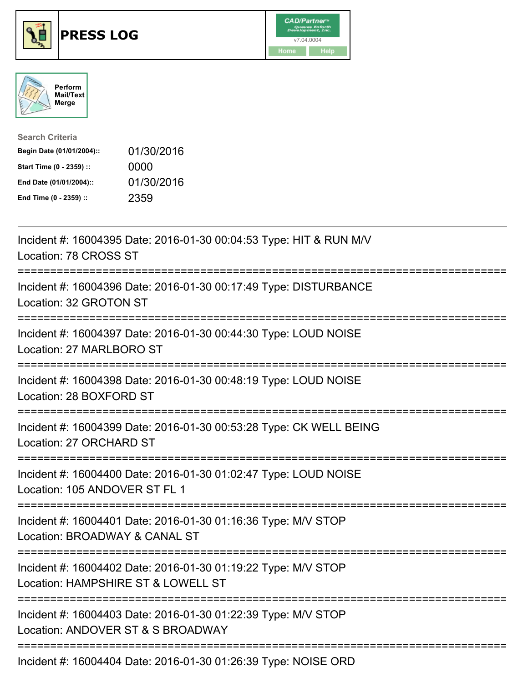





| <b>Search Criteria</b>    |            |
|---------------------------|------------|
| Begin Date (01/01/2004):: | 01/30/2016 |
| Start Time (0 - 2359) ::  | 0000       |
| End Date (01/01/2004)::   | 01/30/2016 |
| End Time (0 - 2359) ::    | 2359       |

| Incident #: 16004395 Date: 2016-01-30 00:04:53 Type: HIT & RUN M/V<br>Location: 78 CROSS ST                                        |
|------------------------------------------------------------------------------------------------------------------------------------|
| Incident #: 16004396 Date: 2016-01-30 00:17:49 Type: DISTURBANCE<br>Location: 32 GROTON ST<br>===============                      |
| Incident #: 16004397 Date: 2016-01-30 00:44:30 Type: LOUD NOISE<br>Location: 27 MARLBORO ST                                        |
| Incident #: 16004398 Date: 2016-01-30 00:48:19 Type: LOUD NOISE<br>Location: 28 BOXFORD ST                                         |
| Incident #: 16004399 Date: 2016-01-30 00:53:28 Type: CK WELL BEING<br>Location: 27 ORCHARD ST                                      |
| Incident #: 16004400 Date: 2016-01-30 01:02:47 Type: LOUD NOISE<br>Location: 105 ANDOVER ST FL 1<br>========================       |
| Incident #: 16004401 Date: 2016-01-30 01:16:36 Type: M/V STOP<br>Location: BROADWAY & CANAL ST<br>;==========================      |
| Incident #: 16004402 Date: 2016-01-30 01:19:22 Type: M/V STOP<br>Location: HAMPSHIRE ST & LOWELL ST<br>:========================== |
| Incident #: 16004403 Date: 2016-01-30 01:22:39 Type: M/V STOP<br>Location: ANDOVER ST & S BROADWAY                                 |
| Incident #: 16004404 Date: 2016-01-30 01:26:39 Type: NOISE ORD                                                                     |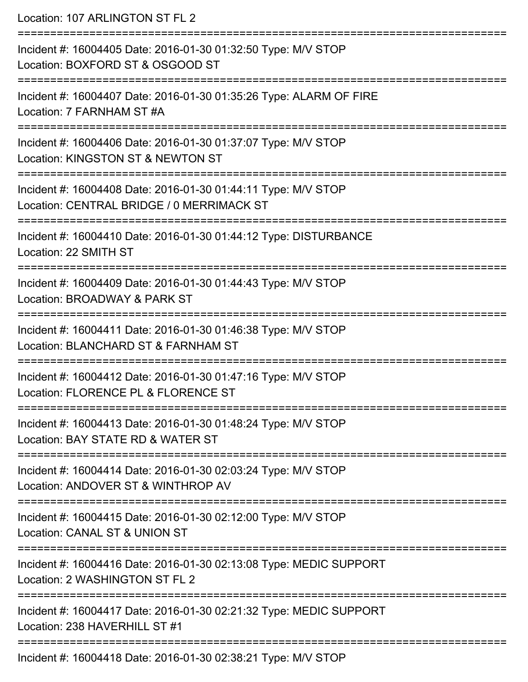Location: 107 ARLINGTON ST FL 2 =========================================================================== Incident #: 16004405 Date: 2016-01-30 01:32:50 Type: M/V STOP Location: BOXFORD ST & OSGOOD ST =========================================================================== Incident #: 16004407 Date: 2016-01-30 01:35:26 Type: ALARM OF FIRE Location: 7 FARNHAM ST #A =========================================================================== Incident #: 16004406 Date: 2016-01-30 01:37:07 Type: M/V STOP Location: KINGSTON ST & NEWTON ST =========================================================================== Incident #: 16004408 Date: 2016-01-30 01:44:11 Type: M/V STOP Location: CENTRAL BRIDGE / 0 MERRIMACK ST =========================================================================== Incident #: 16004410 Date: 2016-01-30 01:44:12 Type: DISTURBANCE Location: 22 SMITH ST =========================================================================== Incident #: 16004409 Date: 2016-01-30 01:44:43 Type: M/V STOP Location: BROADWAY & PARK ST =========================================================================== Incident #: 16004411 Date: 2016-01-30 01:46:38 Type: M/V STOP Location: BLANCHARD ST & FARNHAM ST =========================================================================== Incident #: 16004412 Date: 2016-01-30 01:47:16 Type: M/V STOP Location: FLORENCE PL & FLORENCE ST =========================================================================== Incident #: 16004413 Date: 2016-01-30 01:48:24 Type: M/V STOP Location: BAY STATE RD & WATER ST =========================================================================== Incident #: 16004414 Date: 2016-01-30 02:03:24 Type: M/V STOP Location: ANDOVER ST & WINTHROP AV =========================================================================== Incident #: 16004415 Date: 2016-01-30 02:12:00 Type: M/V STOP Location: CANAL ST & UNION ST =========================================================================== Incident #: 16004416 Date: 2016-01-30 02:13:08 Type: MEDIC SUPPORT Location: 2 WASHINGTON ST FL 2 =========================================================================== Incident #: 16004417 Date: 2016-01-30 02:21:32 Type: MEDIC SUPPORT Location: 238 HAVERHILL ST #1 =========================================================================== Incident #: 16004418 Date: 2016-01-30 02:38:21 Type: M/V STOP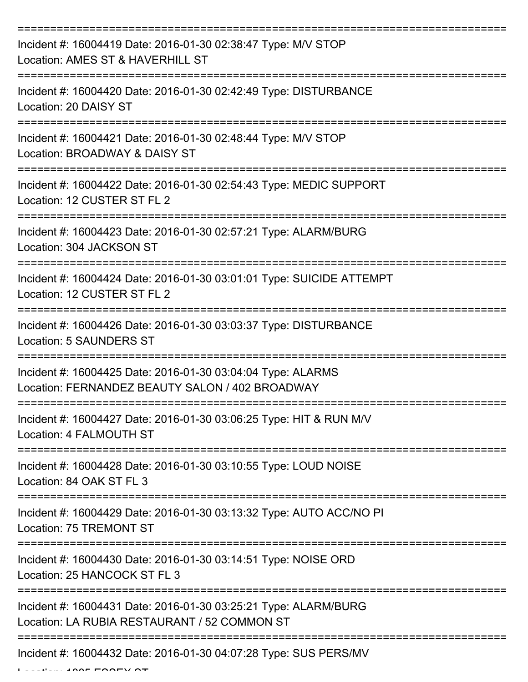| Incident #: 16004419 Date: 2016-01-30 02:38:47 Type: M/V STOP<br>Location: AMES ST & HAVERHILL ST               |
|-----------------------------------------------------------------------------------------------------------------|
| Incident #: 16004420 Date: 2016-01-30 02:42:49 Type: DISTURBANCE<br>Location: 20 DAISY ST                       |
| Incident #: 16004421 Date: 2016-01-30 02:48:44 Type: M/V STOP<br>Location: BROADWAY & DAISY ST                  |
| Incident #: 16004422 Date: 2016-01-30 02:54:43 Type: MEDIC SUPPORT<br>Location: 12 CUSTER ST FL 2               |
| Incident #: 16004423 Date: 2016-01-30 02:57:21 Type: ALARM/BURG<br>Location: 304 JACKSON ST                     |
| Incident #: 16004424 Date: 2016-01-30 03:01:01 Type: SUICIDE ATTEMPT<br>Location: 12 CUSTER ST FL 2             |
| Incident #: 16004426 Date: 2016-01-30 03:03:37 Type: DISTURBANCE<br><b>Location: 5 SAUNDERS ST</b>              |
| Incident #: 16004425 Date: 2016-01-30 03:04:04 Type: ALARMS<br>Location: FERNANDEZ BEAUTY SALON / 402 BROADWAY  |
| Incident #: 16004427 Date: 2016-01-30 03:06:25 Type: HIT & RUN M/V<br>Location: 4 FALMOUTH ST                   |
| Incident #: 16004428 Date: 2016-01-30 03:10:55 Type: LOUD NOISE<br>Location: 84 OAK ST FL 3                     |
| Incident #: 16004429 Date: 2016-01-30 03:13:32 Type: AUTO ACC/NO PI<br>Location: 75 TREMONT ST                  |
| Incident #: 16004430 Date: 2016-01-30 03:14:51 Type: NOISE ORD<br>Location: 25 HANCOCK ST FL 3                  |
| Incident #: 16004431 Date: 2016-01-30 03:25:21 Type: ALARM/BURG<br>Location: LA RUBIA RESTAURANT / 52 COMMON ST |
| Incident #: 16004432 Date: 2016-01-30 04:07:28 Type: SUS PERS/MV                                                |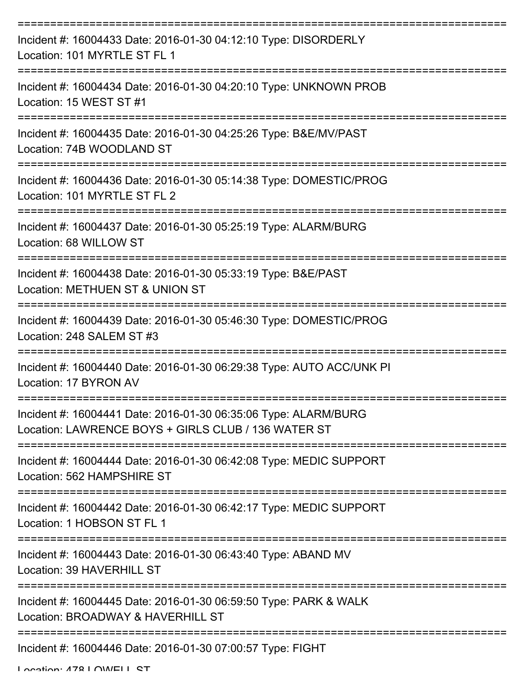| Incident #: 16004433 Date: 2016-01-30 04:12:10 Type: DISORDERLY<br>Location: 101 MYRTLE ST FL 1                        |
|------------------------------------------------------------------------------------------------------------------------|
| Incident #: 16004434 Date: 2016-01-30 04:20:10 Type: UNKNOWN PROB<br>Location: 15 WEST ST #1                           |
| Incident #: 16004435 Date: 2016-01-30 04:25:26 Type: B&E/MV/PAST<br>Location: 74B WOODLAND ST                          |
| Incident #: 16004436 Date: 2016-01-30 05:14:38 Type: DOMESTIC/PROG<br>Location: 101 MYRTLE ST FL 2                     |
| Incident #: 16004437 Date: 2016-01-30 05:25:19 Type: ALARM/BURG<br>Location: 68 WILLOW ST<br>------------              |
| Incident #: 16004438 Date: 2016-01-30 05:33:19 Type: B&E/PAST<br>Location: METHUEN ST & UNION ST                       |
| Incident #: 16004439 Date: 2016-01-30 05:46:30 Type: DOMESTIC/PROG<br>Location: 248 SALEM ST #3                        |
| Incident #: 16004440 Date: 2016-01-30 06:29:38 Type: AUTO ACC/UNK PI<br>Location: 17 BYRON AV                          |
| Incident #: 16004441 Date: 2016-01-30 06:35:06 Type: ALARM/BURG<br>Location: LAWRENCE BOYS + GIRLS CLUB / 136 WATER ST |
| Incident #: 16004444 Date: 2016-01-30 06:42:08 Type: MEDIC SUPPORT<br>Location: 562 HAMPSHIRE ST                       |
| Incident #: 16004442 Date: 2016-01-30 06:42:17 Type: MEDIC SUPPORT<br>Location: 1 HOBSON ST FL 1                       |
| Incident #: 16004443 Date: 2016-01-30 06:43:40 Type: ABAND MV<br>Location: 39 HAVERHILL ST                             |
| Incident #: 16004445 Date: 2016-01-30 06:59:50 Type: PARK & WALK<br>Location: BROADWAY & HAVERHILL ST                  |
| Incident #: 16004446 Date: 2016-01-30 07:00:57 Type: FIGHT                                                             |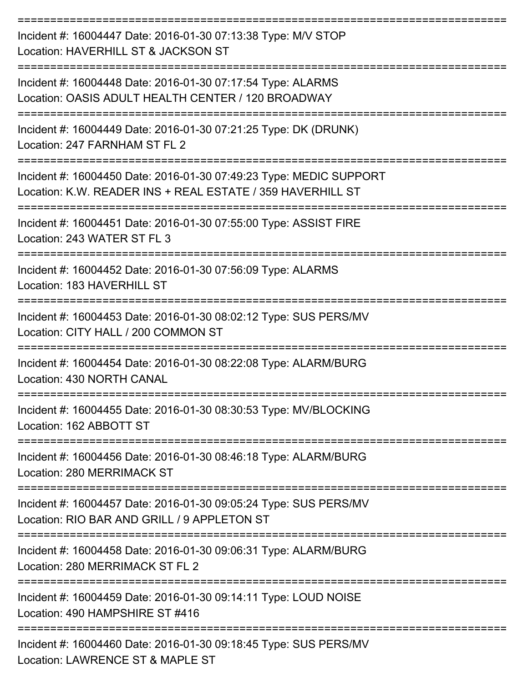| Incident #: 16004447 Date: 2016-01-30 07:13:38 Type: M/V STOP<br>Location: HAVERHILL ST & JACKSON ST                             |
|----------------------------------------------------------------------------------------------------------------------------------|
| Incident #: 16004448 Date: 2016-01-30 07:17:54 Type: ALARMS<br>Location: OASIS ADULT HEALTH CENTER / 120 BROADWAY                |
| Incident #: 16004449 Date: 2016-01-30 07:21:25 Type: DK (DRUNK)<br>Location: 247 FARNHAM ST FL 2<br>=============                |
| Incident #: 16004450 Date: 2016-01-30 07:49:23 Type: MEDIC SUPPORT<br>Location: K.W. READER INS + REAL ESTATE / 359 HAVERHILL ST |
| Incident #: 16004451 Date: 2016-01-30 07:55:00 Type: ASSIST FIRE<br>Location: 243 WATER ST FL 3                                  |
| Incident #: 16004452 Date: 2016-01-30 07:56:09 Type: ALARMS<br>Location: 183 HAVERHILL ST                                        |
| Incident #: 16004453 Date: 2016-01-30 08:02:12 Type: SUS PERS/MV<br>Location: CITY HALL / 200 COMMON ST                          |
| Incident #: 16004454 Date: 2016-01-30 08:22:08 Type: ALARM/BURG<br>Location: 430 NORTH CANAL                                     |
| Incident #: 16004455 Date: 2016-01-30 08:30:53 Type: MV/BLOCKING<br>Location: 162 ABBOTT ST                                      |
| Incident #: 16004456 Date: 2016-01-30 08:46:18 Type: ALARM/BURG<br>Location: 280 MERRIMACK ST                                    |
| Incident #: 16004457 Date: 2016-01-30 09:05:24 Type: SUS PERS/MV<br>Location: RIO BAR AND GRILL / 9 APPLETON ST                  |
| Incident #: 16004458 Date: 2016-01-30 09:06:31 Type: ALARM/BURG<br>Location: 280 MERRIMACK ST FL 2                               |
| Incident #: 16004459 Date: 2016-01-30 09:14:11 Type: LOUD NOISE<br>Location: 490 HAMPSHIRE ST #416                               |
| Incident #: 16004460 Date: 2016-01-30 09:18:45 Type: SUS PERS/MV<br>Location: LAWDENCE CT & MADLE CT                             |

Location: LAWRENCE ST & MAPLE ST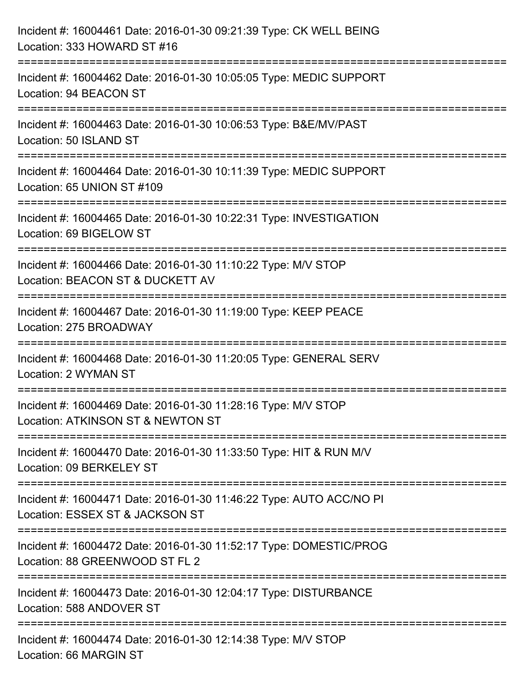| Incident #: 16004461 Date: 2016-01-30 09:21:39 Type: CK WELL BEING<br>Location: 333 HOWARD ST #16                                  |
|------------------------------------------------------------------------------------------------------------------------------------|
| :=================================<br>Incident #: 16004462 Date: 2016-01-30 10:05:05 Type: MEDIC SUPPORT<br>Location: 94 BEACON ST |
| Incident #: 16004463 Date: 2016-01-30 10:06:53 Type: B&E/MV/PAST<br>Location: 50 ISLAND ST                                         |
| Incident #: 16004464 Date: 2016-01-30 10:11:39 Type: MEDIC SUPPORT<br>Location: 65 UNION ST #109                                   |
| Incident #: 16004465 Date: 2016-01-30 10:22:31 Type: INVESTIGATION<br>Location: 69 BIGELOW ST                                      |
| Incident #: 16004466 Date: 2016-01-30 11:10:22 Type: M/V STOP<br>Location: BEACON ST & DUCKETT AV<br>----------------------        |
| Incident #: 16004467 Date: 2016-01-30 11:19:00 Type: KEEP PEACE<br>Location: 275 BROADWAY                                          |
| Incident #: 16004468 Date: 2016-01-30 11:20:05 Type: GENERAL SERV<br>Location: 2 WYMAN ST                                          |
| Incident #: 16004469 Date: 2016-01-30 11:28:16 Type: M/V STOP<br>Location: ATKINSON ST & NEWTON ST                                 |
| Incident #: 16004470 Date: 2016-01-30 11:33:50 Type: HIT & RUN M/V<br>Location: 09 BERKELEY ST                                     |
| Incident #: 16004471 Date: 2016-01-30 11:46:22 Type: AUTO ACC/NO PI<br>Location: ESSEX ST & JACKSON ST                             |
| Incident #: 16004472 Date: 2016-01-30 11:52:17 Type: DOMESTIC/PROG<br>Location: 88 GREENWOOD ST FL 2                               |
| Incident #: 16004473 Date: 2016-01-30 12:04:17 Type: DISTURBANCE<br>Location: 588 ANDOVER ST                                       |
| Incident #: 16004474 Date: 2016-01-30 12:14:38 Type: M/V STOP<br>Location: 66 MARGIN ST                                            |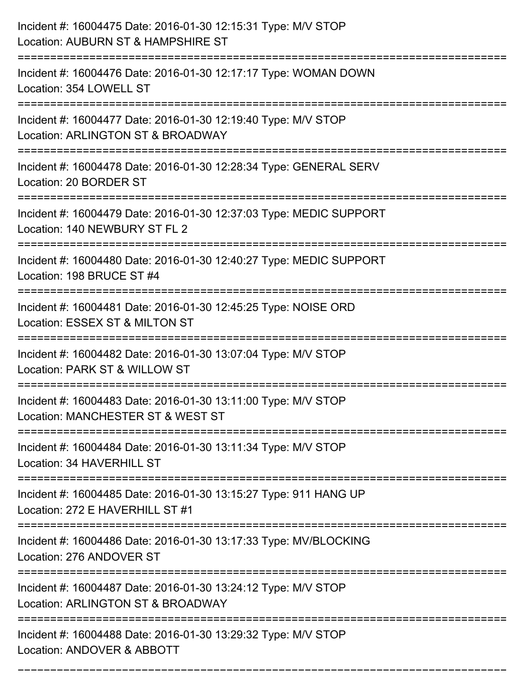| Incident #: 16004475 Date: 2016-01-30 12:15:31 Type: M/V STOP<br>Location: AUBURN ST & HAMPSHIRE ST                             |
|---------------------------------------------------------------------------------------------------------------------------------|
| :====================<br>Incident #: 16004476 Date: 2016-01-30 12:17:17 Type: WOMAN DOWN<br>Location: 354 LOWELL ST             |
| Incident #: 16004477 Date: 2016-01-30 12:19:40 Type: M/V STOP<br>Location: ARLINGTON ST & BROADWAY<br>:======================   |
| Incident #: 16004478 Date: 2016-01-30 12:28:34 Type: GENERAL SERV<br>Location: 20 BORDER ST                                     |
| Incident #: 16004479 Date: 2016-01-30 12:37:03 Type: MEDIC SUPPORT<br>Location: 140 NEWBURY ST FL 2                             |
| Incident #: 16004480 Date: 2016-01-30 12:40:27 Type: MEDIC SUPPORT<br>Location: 198 BRUCE ST #4                                 |
| Incident #: 16004481 Date: 2016-01-30 12:45:25 Type: NOISE ORD<br>Location: ESSEX ST & MILTON ST                                |
| Incident #: 16004482 Date: 2016-01-30 13:07:04 Type: M/V STOP<br>Location: PARK ST & WILLOW ST                                  |
| Incident #: 16004483 Date: 2016-01-30 13:11:00 Type: M/V STOP<br>Location: MANCHESTER ST & WEST ST                              |
| Incident #: 16004484 Date: 2016-01-30 13:11:34 Type: M/V STOP<br>Location: 34 HAVERHILL ST<br>================================= |
| Incident #: 16004485 Date: 2016-01-30 13:15:27 Type: 911 HANG UP<br>Location: 272 E HAVERHILL ST #1                             |
| Incident #: 16004486 Date: 2016-01-30 13:17:33 Type: MV/BLOCKING<br>Location: 276 ANDOVER ST                                    |
| Incident #: 16004487 Date: 2016-01-30 13:24:12 Type: M/V STOP<br>Location: ARLINGTON ST & BROADWAY                              |
| .======================<br>Incident #: 16004488 Date: 2016-01-30 13:29:32 Type: M/V STOP<br>Location: ANDOVER & ABBOTT          |

===========================================================================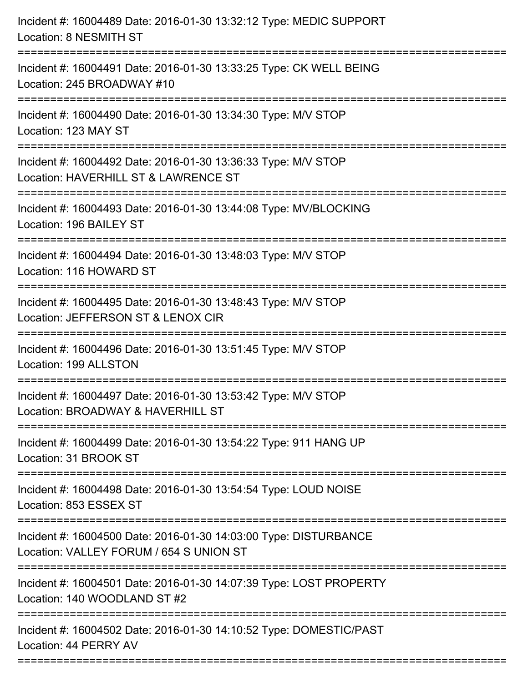| Incident #: 16004491 Date: 2016-01-30 13:33:25 Type: CK WELL BEING<br>Location: 245 BROADWAY #10<br>Incident #: 16004490 Date: 2016-01-30 13:34:30 Type: M/V STOP<br>Location: 123 MAY ST<br>Location: HAVERHILL ST & LAWRENCE ST<br>Incident #: 16004493 Date: 2016-01-30 13:44:08 Type: MV/BLOCKING<br>Location: 196 BAILEY ST<br>Incident #: 16004494 Date: 2016-01-30 13:48:03 Type: M/V STOP<br>Location: 116 HOWARD ST<br>Incident #: 16004495 Date: 2016-01-30 13:48:43 Type: M/V STOP<br>Location: JEFFERSON ST & LENOX CIR<br>Incident #: 16004496 Date: 2016-01-30 13:51:45 Type: M/V STOP<br>Location: 199 ALLSTON<br>Incident #: 16004497 Date: 2016-01-30 13:53:42 Type: M/V STOP<br>Location: BROADWAY & HAVERHILL ST<br>Incident #: 16004499 Date: 2016-01-30 13:54:22 Type: 911 HANG UP<br>Location: 31 BROOK ST<br>Incident #: 16004498 Date: 2016-01-30 13:54:54 Type: LOUD NOISE<br>Location: 853 ESSEX ST<br>Incident #: 16004500 Date: 2016-01-30 14:03:00 Type: DISTURBANCE<br>Location: VALLEY FORUM / 654 S UNION ST<br>Incident #: 16004501 Date: 2016-01-30 14:07:39 Type: LOST PROPERTY<br>Location: 140 WOODLAND ST #2<br>Incident #: 16004502 Date: 2016-01-30 14:10:52 Type: DOMESTIC/PAST<br>Location: 44 PERRY AV | Incident #: 16004489 Date: 2016-01-30 13:32:12 Type: MEDIC SUPPORT<br>Location: 8 NESMITH ST |
|---------------------------------------------------------------------------------------------------------------------------------------------------------------------------------------------------------------------------------------------------------------------------------------------------------------------------------------------------------------------------------------------------------------------------------------------------------------------------------------------------------------------------------------------------------------------------------------------------------------------------------------------------------------------------------------------------------------------------------------------------------------------------------------------------------------------------------------------------------------------------------------------------------------------------------------------------------------------------------------------------------------------------------------------------------------------------------------------------------------------------------------------------------------------------------------------------------------------------------------------------|----------------------------------------------------------------------------------------------|
|                                                                                                                                                                                                                                                                                                                                                                                                                                                                                                                                                                                                                                                                                                                                                                                                                                                                                                                                                                                                                                                                                                                                                                                                                                                   |                                                                                              |
|                                                                                                                                                                                                                                                                                                                                                                                                                                                                                                                                                                                                                                                                                                                                                                                                                                                                                                                                                                                                                                                                                                                                                                                                                                                   |                                                                                              |
|                                                                                                                                                                                                                                                                                                                                                                                                                                                                                                                                                                                                                                                                                                                                                                                                                                                                                                                                                                                                                                                                                                                                                                                                                                                   | Incident #: 16004492 Date: 2016-01-30 13:36:33 Type: M/V STOP                                |
|                                                                                                                                                                                                                                                                                                                                                                                                                                                                                                                                                                                                                                                                                                                                                                                                                                                                                                                                                                                                                                                                                                                                                                                                                                                   |                                                                                              |
|                                                                                                                                                                                                                                                                                                                                                                                                                                                                                                                                                                                                                                                                                                                                                                                                                                                                                                                                                                                                                                                                                                                                                                                                                                                   |                                                                                              |
|                                                                                                                                                                                                                                                                                                                                                                                                                                                                                                                                                                                                                                                                                                                                                                                                                                                                                                                                                                                                                                                                                                                                                                                                                                                   |                                                                                              |
|                                                                                                                                                                                                                                                                                                                                                                                                                                                                                                                                                                                                                                                                                                                                                                                                                                                                                                                                                                                                                                                                                                                                                                                                                                                   |                                                                                              |
|                                                                                                                                                                                                                                                                                                                                                                                                                                                                                                                                                                                                                                                                                                                                                                                                                                                                                                                                                                                                                                                                                                                                                                                                                                                   |                                                                                              |
|                                                                                                                                                                                                                                                                                                                                                                                                                                                                                                                                                                                                                                                                                                                                                                                                                                                                                                                                                                                                                                                                                                                                                                                                                                                   |                                                                                              |
|                                                                                                                                                                                                                                                                                                                                                                                                                                                                                                                                                                                                                                                                                                                                                                                                                                                                                                                                                                                                                                                                                                                                                                                                                                                   |                                                                                              |
|                                                                                                                                                                                                                                                                                                                                                                                                                                                                                                                                                                                                                                                                                                                                                                                                                                                                                                                                                                                                                                                                                                                                                                                                                                                   |                                                                                              |
|                                                                                                                                                                                                                                                                                                                                                                                                                                                                                                                                                                                                                                                                                                                                                                                                                                                                                                                                                                                                                                                                                                                                                                                                                                                   |                                                                                              |
|                                                                                                                                                                                                                                                                                                                                                                                                                                                                                                                                                                                                                                                                                                                                                                                                                                                                                                                                                                                                                                                                                                                                                                                                                                                   |                                                                                              |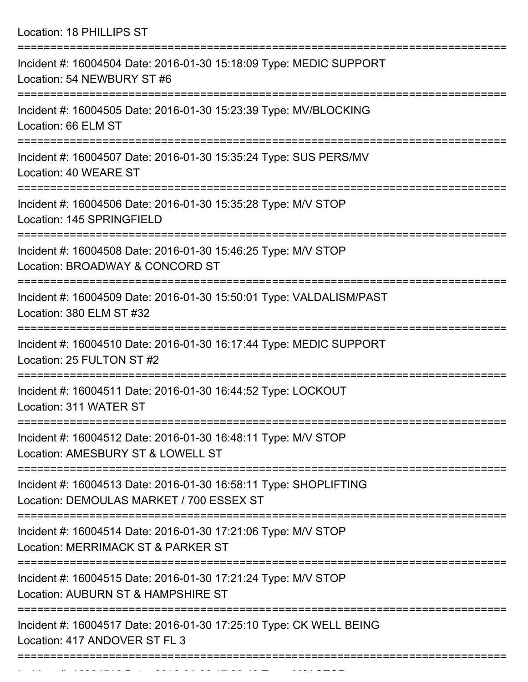Location: 18 PHILLIPS ST

| Incident #: 16004504 Date: 2016-01-30 15:18:09 Type: MEDIC SUPPORT<br>Location: 54 NEWBURY ST #6                   |
|--------------------------------------------------------------------------------------------------------------------|
| Incident #: 16004505 Date: 2016-01-30 15:23:39 Type: MV/BLOCKING<br>Location: 66 ELM ST                            |
| =====================<br>Incident #: 16004507 Date: 2016-01-30 15:35:24 Type: SUS PERS/MV<br>Location: 40 WEARE ST |
| Incident #: 16004506 Date: 2016-01-30 15:35:28 Type: M/V STOP<br>Location: 145 SPRINGFIELD                         |
| Incident #: 16004508 Date: 2016-01-30 15:46:25 Type: M/V STOP<br>Location: BROADWAY & CONCORD ST                   |
| Incident #: 16004509 Date: 2016-01-30 15:50:01 Type: VALDALISM/PAST<br>Location: 380 ELM ST #32                    |
| Incident #: 16004510 Date: 2016-01-30 16:17:44 Type: MEDIC SUPPORT<br>Location: 25 FULTON ST #2                    |
| Incident #: 16004511 Date: 2016-01-30 16:44:52 Type: LOCKOUT<br>Location: 311 WATER ST                             |
| Incident #: 16004512 Date: 2016-01-30 16:48:11 Type: M/V STOP<br>Location: AMESBURY ST & LOWELL ST                 |
| Incident #: 16004513 Date: 2016-01-30 16:58:11 Type: SHOPLIFTING<br>Location: DEMOULAS MARKET / 700 ESSEX ST       |
| Incident #: 16004514 Date: 2016-01-30 17:21:06 Type: M/V STOP<br>Location: MERRIMACK ST & PARKER ST                |
| Incident #: 16004515 Date: 2016-01-30 17:21:24 Type: M/V STOP<br>Location: AUBURN ST & HAMPSHIRE ST                |
| Incident #: 16004517 Date: 2016-01-30 17:25:10 Type: CK WELL BEING<br>Location: 417 ANDOVER ST FL 3                |
|                                                                                                                    |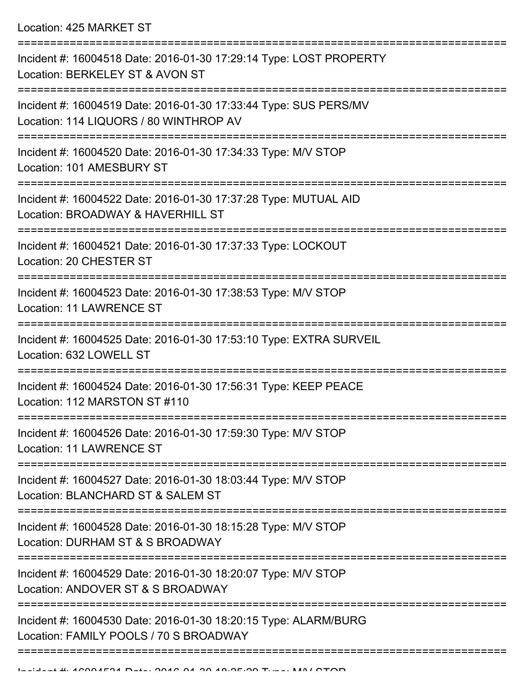Location: 425 MARKET ST

| Incident #: 16004518 Date: 2016-01-30 17:29:14 Type: LOST PROPERTY<br>Location: BERKELEY ST & AVON ST      |
|------------------------------------------------------------------------------------------------------------|
| Incident #: 16004519 Date: 2016-01-30 17:33:44 Type: SUS PERS/MV<br>Location: 114 LIQUORS / 80 WINTHROP AV |
| Incident #: 16004520 Date: 2016-01-30 17:34:33 Type: M/V STOP<br>Location: 101 AMESBURY ST                 |
| Incident #: 16004522 Date: 2016-01-30 17:37:28 Type: MUTUAL AID<br>Location: BROADWAY & HAVERHILL ST       |
| Incident #: 16004521 Date: 2016-01-30 17:37:33 Type: LOCKOUT<br>Location: 20 CHESTER ST                    |
| Incident #: 16004523 Date: 2016-01-30 17:38:53 Type: M/V STOP<br>Location: 11 LAWRENCE ST                  |
| Incident #: 16004525 Date: 2016-01-30 17:53:10 Type: EXTRA SURVEIL<br>Location: 632 LOWELL ST              |
| Incident #: 16004524 Date: 2016-01-30 17:56:31 Type: KEEP PEACE<br>Location: 112 MARSTON ST #110           |
| Incident #: 16004526 Date: 2016-01-30 17:59:30 Type: M/V STOP<br>Location: 11 LAWRENCE ST                  |
| Incident #: 16004527 Date: 2016-01-30 18:03:44 Type: M/V STOP<br>Location: BLANCHARD ST & SALEM ST         |
| Incident #: 16004528 Date: 2016-01-30 18:15:28 Type: M/V STOP<br>Location: DURHAM ST & S BROADWAY          |
| Incident #: 16004529 Date: 2016-01-30 18:20:07 Type: M/V STOP<br>Location: ANDOVER ST & S BROADWAY         |
| Incident #: 16004530 Date: 2016-01-30 18:20:15 Type: ALARM/BURG<br>Location: FAMILY POOLS / 70 S BROADWAY  |
|                                                                                                            |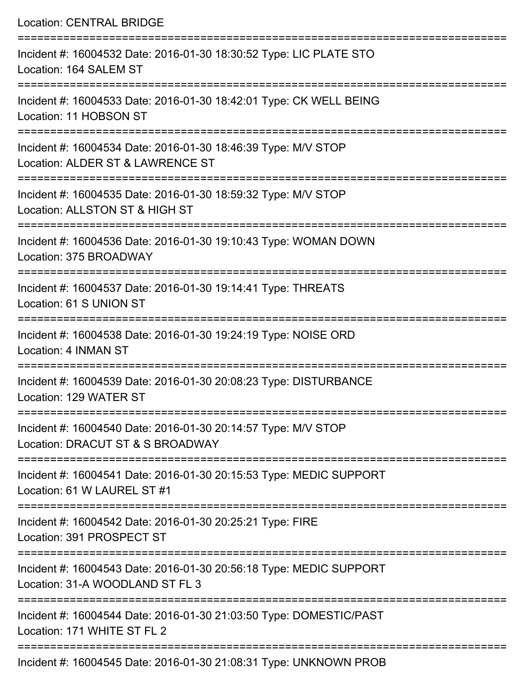Location: CENTRAL BRIDGE =========================================================================== Incident #: 16004532 Date: 2016-01-30 18:30:52 Type: LIC PLATE STO Location: 164 SALEM ST =========================================================================== Incident #: 16004533 Date: 2016-01-30 18:42:01 Type: CK WELL BEING Location: 11 HOBSON ST =========================================================================== Incident #: 16004534 Date: 2016-01-30 18:46:39 Type: M/V STOP Location: ALDER ST & LAWRENCE ST =========================================================================== Incident #: 16004535 Date: 2016-01-30 18:59:32 Type: M/V STOP Location: ALLSTON ST & HIGH ST =========================================================================== Incident #: 16004536 Date: 2016-01-30 19:10:43 Type: WOMAN DOWN Location: 375 BROADWAY =========================================================================== Incident #: 16004537 Date: 2016-01-30 19:14:41 Type: THREATS Location: 61 S UNION ST =========================================================================== Incident #: 16004538 Date: 2016-01-30 19:24:19 Type: NOISE ORD Location: 4 INMAN ST =========================================================================== Incident #: 16004539 Date: 2016-01-30 20:08:23 Type: DISTURBANCE Location: 129 WATER ST =========================================================================== Incident #: 16004540 Date: 2016-01-30 20:14:57 Type: M/V STOP Location: DRACUT ST & S BROADWAY =========================================================================== Incident #: 16004541 Date: 2016-01-30 20:15:53 Type: MEDIC SUPPORT Location: 61 W LAUREL ST #1 =========================================================================== Incident #: 16004542 Date: 2016-01-30 20:25:21 Type: FIRE Location: 391 PROSPECT ST =========================================================================== Incident #: 16004543 Date: 2016-01-30 20:56:18 Type: MEDIC SUPPORT Location: 31-A WOODLAND ST FL 3 =========================================================================== Incident #: 16004544 Date: 2016-01-30 21:03:50 Type: DOMESTIC/PAST Location: 171 WHITE ST FL 2 ===========================================================================

Incident #: 16004545 Date: 2016-01-30 21:08:31 Type: UNKNOWN PROB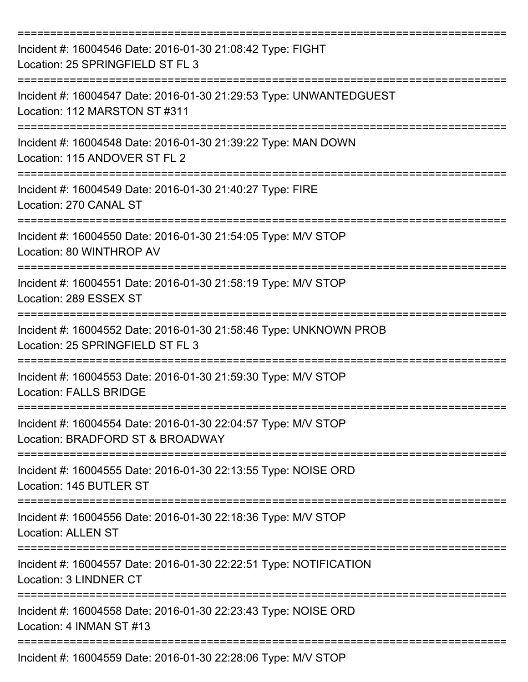| Incident #: 16004546 Date: 2016-01-30 21:08:42 Type: FIGHT<br>Location: 25 SPRINGFIELD ST FL 3              |
|-------------------------------------------------------------------------------------------------------------|
| Incident #: 16004547 Date: 2016-01-30 21:29:53 Type: UNWANTEDGUEST<br>Location: 112 MARSTON ST #311         |
| Incident #: 16004548 Date: 2016-01-30 21:39:22 Type: MAN DOWN<br>Location: 115 ANDOVER ST FL 2              |
| Incident #: 16004549 Date: 2016-01-30 21:40:27 Type: FIRE<br>Location: 270 CANAL ST                         |
| Incident #: 16004550 Date: 2016-01-30 21:54:05 Type: M/V STOP<br>Location: 80 WINTHROP AV                   |
| Incident #: 16004551 Date: 2016-01-30 21:58:19 Type: M/V STOP<br>Location: 289 ESSEX ST                     |
| Incident #: 16004552 Date: 2016-01-30 21:58:46 Type: UNKNOWN PROB<br>Location: 25 SPRINGFIELD ST FL 3       |
| Incident #: 16004553 Date: 2016-01-30 21:59:30 Type: M/V STOP<br><b>Location: FALLS BRIDGE</b>              |
| Incident #: 16004554 Date: 2016-01-30 22:04:57 Type: M/V STOP<br>Location: BRADFORD ST & BROADWAY           |
| Incident #: 16004555 Date: 2016-01-30 22:13:55 Type: NOISE ORD<br>Location: 145 BUTLER ST                   |
| Incident #: 16004556 Date: 2016-01-30 22:18:36 Type: M/V STOP<br><b>Location: ALLEN ST</b>                  |
| ============<br>Incident #: 16004557 Date: 2016-01-30 22:22:51 Type: NOTIFICATION<br>Location: 3 LINDNER CT |
| Incident #: 16004558 Date: 2016-01-30 22:23:43 Type: NOISE ORD<br>Location: 4 INMAN ST #13                  |
| Incident #: 16004559 Date: 2016-01-30 22:28:06 Type: M/V STOP                                               |